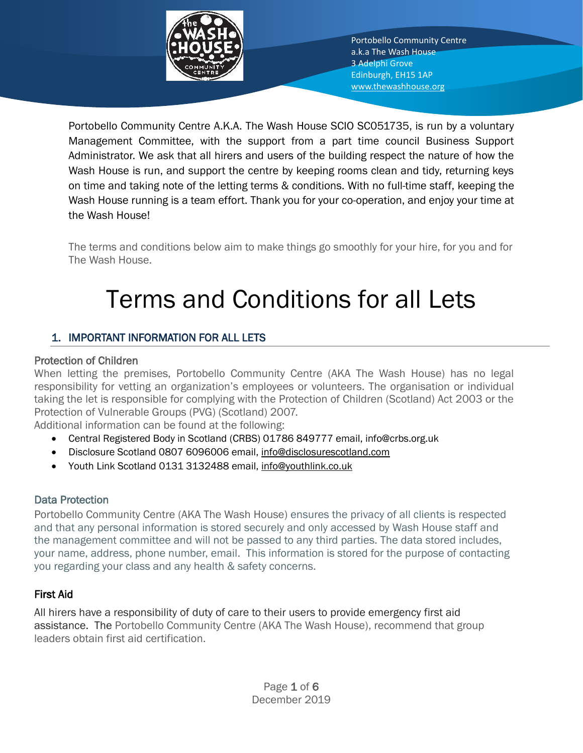

Portobello Community Centre A.K.A. The Wash House SCIO SC051735, is run by a voluntary Management Committee, with the support from a part time council Business Support Administrator. We ask that all hirers and users of the building respect the nature of how the Wash House is run, and support the centre by keeping rooms clean and tidy, returning keys on time and taking note of the letting terms & conditions. With no full-time staff, keeping the Wash House running is a team effort. Thank you for your co-operation, and enjoy your time at the Wash House!

The terms and conditions below aim to make things go smoothly for your hire, for you and for The Wash House.

# Terms and Conditions for all Lets

# 1. IMPORTANT INFORMATION FOR ALL LETS

## Protection of Children

When letting the premises, Portobello Community Centre (AKA The Wash House) has no legal responsibility for vetting an organization's employees or volunteers. The organisation or individual taking the let is responsible for complying with the Protection of Children (Scotland) Act 2003 or the Protection of Vulnerable Groups (PVG) (Scotland) 2007.

Additional information can be found at the following:

- Central Registered Body in Scotland (CRBS) 01786 849777 email, info@crbs.org.uk
- Disclosure Scotland 0807 6096006 email, [info@disclosurescotland.com](mailto:info@disclosurescotland.com)
- Youth Link Scotland 0131 3132488 email, [info@youthlink.co.uk](mailto:info@youthlink.co.uk)

## Data Protection

Portobello Community Centre (AKA The Wash House) ensures the privacy of all clients is respected and that any personal information is stored securely and only accessed by Wash House staff and the management committee and will not be passed to any third parties. The data stored includes, your name, address, phone number, email. This information is stored for the purpose of contacting you regarding your class and any health & safety concerns.

## First Aid

All hirers have a responsibility of duty of care to their users to provide emergency first aid assistance. The Portobello Community Centre (AKA The Wash House), recommend that group leaders obtain first aid certification.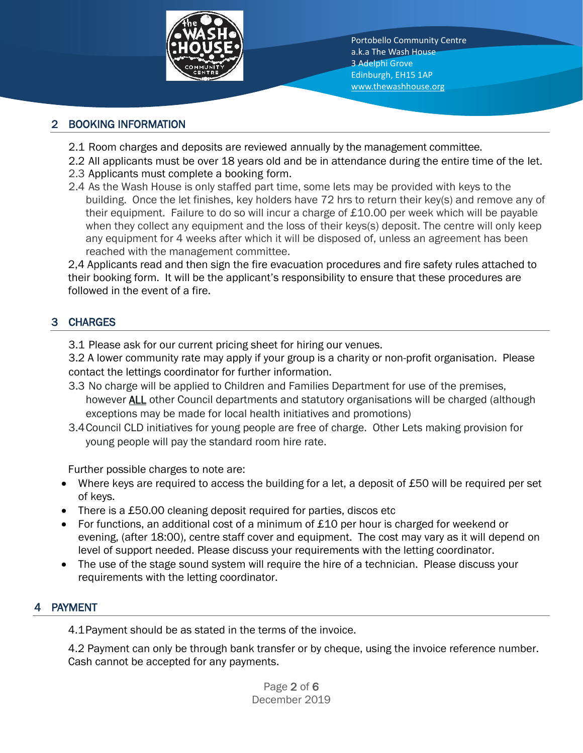

# 2 BOOKING INFORMATION

- 2.1 Room charges and deposits are reviewed annually by the management committee.
- 2.2 All applicants must be over 18 years old and be in attendance during the entire time of the let.
- 2.3 Applicants must complete a booking form.
- 2.4 As the Wash House is only staffed part time, some lets may be provided with keys to the building. Once the let finishes, key holders have 72 hrs to return their key(s) and remove any of their equipment. Failure to do so will incur a charge of  $£10.00$  per week which will be payable when they collect any equipment and the loss of their keys(s) deposit. The centre will only keep any equipment for 4 weeks after which it will be disposed of, unless an agreement has been reached with the management committee.

2,4 Applicants read and then sign the fire evacuation procedures and fire safety rules attached to their booking form. It will be the applicant's responsibility to ensure that these procedures are followed in the event of a fire.

# 3 CHARGES

3.1 Please ask for our current pricing sheet for hiring our venues.

3.2 A lower community rate may apply if your group is a charity or non-profit organisation. Please contact the lettings coordinator for further information.

- 3.3 No charge will be applied to Children and Families Department for use of the premises, however **ALL** other Council departments and statutory organisations will be charged (although exceptions may be made for local health initiatives and promotions)
- 3.4Council CLD initiatives for young people are free of charge. Other Lets making provision for young people will pay the standard room hire rate.

Further possible charges to note are:

- Where keys are required to access the building for a let, a deposit of £50 will be required per set of keys.
- There is a £50.00 cleaning deposit required for parties, discos etc
- For functions, an additional cost of a minimum of £10 per hour is charged for weekend or evening, (after 18:00), centre staff cover and equipment. The cost may vary as it will depend on level of support needed. Please discuss your requirements with the letting coordinator.
- The use of the stage sound system will require the hire of a technician. Please discuss your requirements with the letting coordinator.

## **PAYMENT**

4.1Payment should be as stated in the terms of the invoice.

4.2 Payment can only be through bank transfer or by cheque, using the invoice reference number. Cash cannot be accepted for any payments.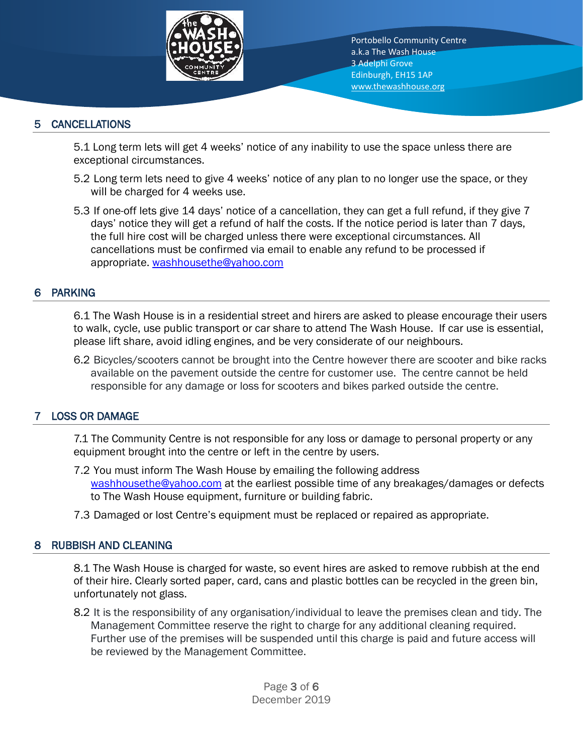

## 5 CANCELLATIONS

5.1 Long term lets will get 4 weeks' notice of any inability to use the space unless there are exceptional circumstances.

- 5.2 Long term lets need to give 4 weeks' notice of any plan to no longer use the space, or they will be charged for 4 weeks use.
- 5.3 If one-off lets give 14 days' notice of a cancellation, they can get a full refund, if they give 7 days' notice they will get a refund of half the costs. If the notice period is later than 7 days, the full hire cost will be charged unless there were exceptional circumstances. All cancellations must be confirmed via email to enable any refund to be processed if appropriate. [washhousethe@yahoo.com](mailto:washhousethe@yahoo.com)

#### 6 PARKING

6.1 The Wash House is in a residential street and hirers are asked to please encourage their users to walk, cycle, use public transport or car share to attend The Wash House. If car use is essential, please lift share, avoid idling engines, and be very considerate of our neighbours.

6.2 Bicycles/scooters cannot be brought into the Centre however there are scooter and bike racks available on the pavement outside the centre for customer use. The centre cannot be held responsible for any damage or loss for scooters and bikes parked outside the centre.

## 7 LOSS OR DAMAGE

7.1 The Community Centre is not responsible for any loss or damage to personal property or any equipment brought into the centre or left in the centre by users.

- 7.2 You must inform The Wash House by emailing the following address [washhousethe@yahoo.com](mailto:washhousethe@yahoo.com) at the earliest possible time of any breakages/damages or defects to The Wash House equipment, furniture or building fabric.
- 7.3 Damaged or lost Centre's equipment must be replaced or repaired as appropriate.

#### 8 RUBBISH AND CLEANING

8.1 The Wash House is charged for waste, so event hires are asked to remove rubbish at the end of their hire. Clearly sorted paper, card, cans and plastic bottles can be recycled in the green bin, unfortunately not glass.

8.2 It is the responsibility of any organisation/individual to leave the premises clean and tidy. The Management Committee reserve the right to charge for any additional cleaning required. Further use of the premises will be suspended until this charge is paid and future access will be reviewed by the Management Committee.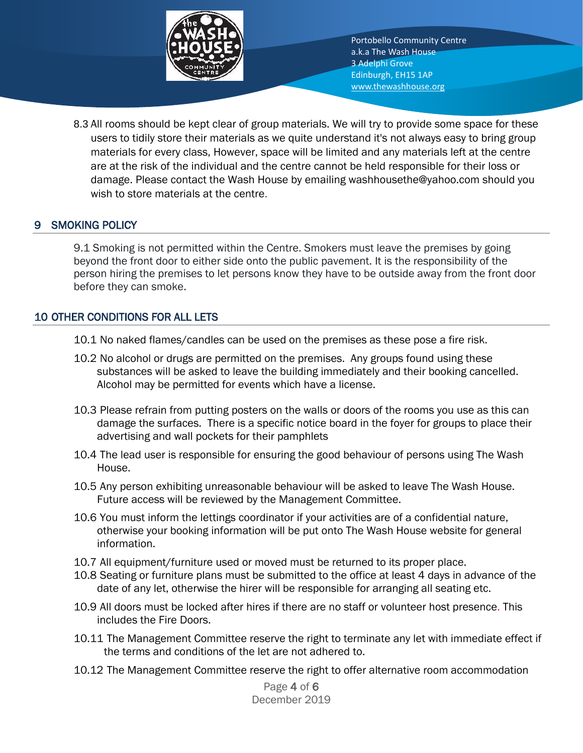

8.3 All rooms should be kept clear of group materials. We will try to provide some space for these users to tidily store their materials as we quite understand it's not always easy to bring group materials for every class, However, space will be limited and any materials left at the centre are at the risk of the individual and the centre cannot be held responsible for their loss or damage. Please contact the Wash House by emailing washhousethe@yahoo.com should you wish to store materials at the centre.

## **SMOKING POLICY**

9.1 Smoking is not permitted within the Centre. Smokers must leave the premises by going beyond the front door to either side onto the public pavement. It is the responsibility of the person hiring the premises to let persons know they have to be outside away from the front door before they can smoke.

#### 10 OTHER CONDITIONS FOR ALL LETS

- 10.1 No naked flames/candles can be used on the premises as these pose a fire risk.
- 10.2 No alcohol or drugs are permitted on the premises. Any groups found using these substances will be asked to leave the building immediately and their booking cancelled. Alcohol may be permitted for events which have a license.
- 10.3 Please refrain from putting posters on the walls or doors of the rooms you use as this can damage the surfaces. There is a specific notice board in the foyer for groups to place their advertising and wall pockets for their pamphlets
- 10.4 The lead user is responsible for ensuring the good behaviour of persons using The Wash House.
- 10.5 Any person exhibiting unreasonable behaviour will be asked to leave The Wash House. Future access will be reviewed by the Management Committee.
- 10.6 You must inform the lettings coordinator if your activities are of a confidential nature, otherwise your booking information will be put onto The Wash House website for general information.
- 10.7 All equipment/furniture used or moved must be returned to its proper place.
- 10.8 Seating or furniture plans must be submitted to the office at least 4 days in advance of the date of any let, otherwise the hirer will be responsible for arranging all seating etc.
- 10.9 All doors must be locked after hires if there are no staff or volunteer host presence. This includes the Fire Doors.
- 10.11 The Management Committee reserve the right to terminate any let with immediate effect if the terms and conditions of the let are not adhered to.
- 10.12 The Management Committee reserve the right to offer alternative room accommodation

Page 4 of 6 December 2019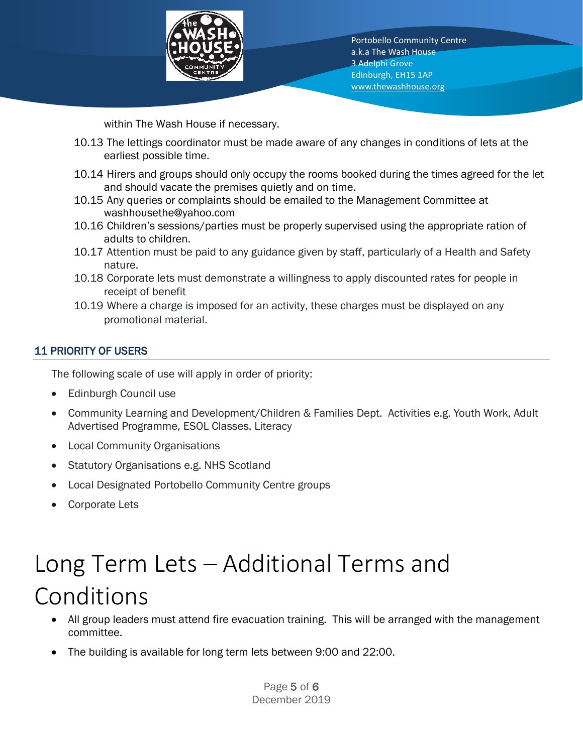

within The Wash House if necessary.

- 10.13 The lettings coordinator must be made aware of any changes in conditions of lets at the earliest possible time.
- 10.14 Hirers and groups should only occupy the rooms booked during the times agreed for the let and should vacate the premises quietly and on time.
- 10.15 Any queries or complaints should be emailed to the Management Committee at washhousethe@yahoo.com
- 10.16 Children's sessions/parties must be properly supervised using the appropriate ration of adults to children.
- 10.17 Attention must be paid to any guidance given by staff, particularly of a Health and Safety nature.
- 10.18 Corporate lets must demonstrate a willingness to apply discounted rates for people in receipt of benefit
- 10.19 Where a charge is imposed for an activity, these charges must be displayed on any promotional material.

## 11 PRIORITY OF USERS

The following scale of use will apply in order of priority:

- Edinburgh Council use
- Community Learning and Development/Children & Families Dept. Activities e.g. Youth Work, Adult Advertised Programme, ESOL Classes, Literacy
- Local Community Organisations
- Statutory Organisations e.g. NHS Scotland
- Local Designated Portobello Community Centre groups
- Corporate Lets

# Long Term Lets – Additional Terms and Conditions

- All group leaders must attend fire evacuation training. This will be arranged with the management committee.
- The building is available for long term lets between 9:00 and 22:00.

Page 5 of 6 December 2019